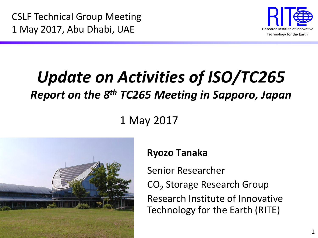CSLF Technical Group Meeting 1 May 2017, Abu Dhabi, UAE



# *Update on Activities of ISO/TC265 Report on the 8th TC265 Meeting in Sapporo, Japan*

#### 1 May 2017



#### **Ryozo Tanaka**

Senior Researcher CO<sub>2</sub> Storage Research Group Research Institute of Innovative Technology for the Earth (RITE)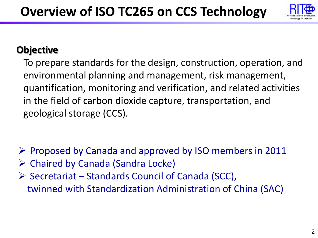

#### **Objective**

To prepare standards for the design, construction, operation, and environmental planning and management, risk management, quantification, monitoring and verification, and related activities in the field of carbon dioxide capture, transportation, and geological storage (CCS).

- $\triangleright$  Proposed by Canada and approved by ISO members in 2011
- $\triangleright$  Chaired by Canada (Sandra Locke)
- $\triangleright$  Secretariat Standards Council of Canada (SCC), twinned with Standardization Administration of China (SAC)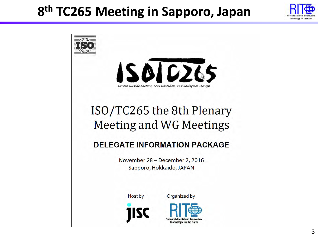### **8th TC265 Meeting in Sapporo, Japan**



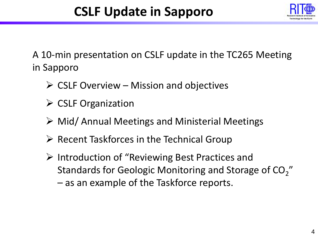

A 10-min presentation on CSLF update in the TC265 Meeting in Sapporo

- $\triangleright$  CSLF Overview Mission and objectives
- $\triangleright$  CSLF Organization
- Mid/ Annual Meetings and Ministerial Meetings
- $\triangleright$  Recent Taskforces in the Technical Group
- $\triangleright$  Introduction of "Reviewing Best Practices and Standards for Geologic Monitoring and Storage of CO<sub>2</sub>" – as an example of the Taskforce reports.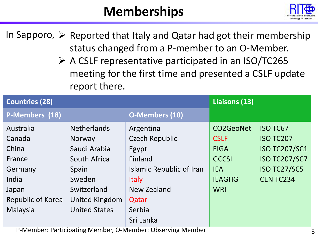## **Memberships**



In Sapporo,  $\triangleright$  Reported that Italy and Qatar had got their membership status changed from a P-member to an O-Member.

> A CSLF representative participated in an ISO/TC265 meeting for the first time and presented a CSLF update report there.

| <b>Countries (28)</b> |                       |                          | Liaisons (13)    |                      |
|-----------------------|-----------------------|--------------------------|------------------|----------------------|
| P-Members (18)        |                       | <b>O-Members (10)</b>    |                  |                      |
| Australia             | <b>Netherlands</b>    | Argentina                | <b>CO2GeoNet</b> | <b>ISO TC67</b>      |
| Canada                | <b>Norway</b>         | <b>Czech Republic</b>    | <b>CSLF</b>      | <b>ISO TC207</b>     |
| China                 | Saudi Arabia          | Egypt                    | <b>EIGA</b>      | <b>ISO TC207/SC1</b> |
| France                | South Africa          | Finland                  | <b>GCCSI</b>     | <b>ISO TC207/SC7</b> |
| Germany               | Spain                 | Islamic Republic of Iran | <b>IEA</b>       | ISO TC27/SC5         |
| India                 | Sweden                | <b>Italy</b>             | <b>IEAGHG</b>    | <b>CENTC234</b>      |
| Japan                 | Switzerland           | New Zealand              | <b>WRI</b>       |                      |
| Republic of Korea     | <b>United Kingdom</b> | Qatar                    |                  |                      |
| Malaysia              | <b>United States</b>  | Serbia                   |                  |                      |
|                       |                       | Sri Lanka                |                  |                      |

P-Member: Participating Member, O-Member: Observing Member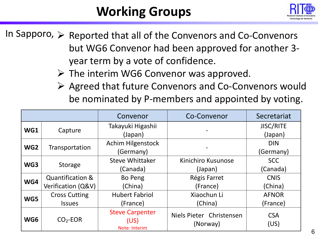# **Working Groups**



In Sapporo,  $\triangleright$  Reported that all of the Convenors and Co-Convenors but WG6 Convenor had been approved for another 3 year term by a vote of confidence.

 $\triangleright$  The interim WG6 Convenor was approved.

 Agreed that future Convenors and Co-Convenors would be nominated by P-members and appointed by voting.

|                 |                                                   | Convenor                                        | Co-Convenor                          | Secretariat                 |
|-----------------|---------------------------------------------------|-------------------------------------------------|--------------------------------------|-----------------------------|
| WG1             | Capture                                           | Takayuki Higashii<br>(Japan)                    |                                      | <b>JISC/RITE</b><br>(Japan) |
| WG <sub>2</sub> | Transportation                                    | <b>Achim Hilgenstock</b><br>(Germany)           |                                      | <b>DIN</b><br>(Germany)     |
| WG3             | <b>Storage</b>                                    | <b>Steve Whittaker</b><br>(Canada)              | Kinichiro Kusunose<br>(Japan)        | <b>SCC</b><br>(Canada)      |
| WG4             | <b>Quantification &amp;</b><br>Verification (Q&V) | Bo Peng<br>(China)                              | Régis Farret<br>(France)             | <b>CNIS</b><br>(China)      |
| WG5             | <b>Cross Cutting</b><br><b>Issues</b>             | <b>Hubert Fabriol</b><br>(France)               | Xiaochun Li<br>(China)               | <b>AFNOR</b><br>(France)    |
| WG6             | $CO2$ -EOR                                        | <b>Steve Carpenter</b><br>(US)<br>Note: Interim | Niels Pieter Christensen<br>(Norway) | <b>CSA</b><br>(US)          |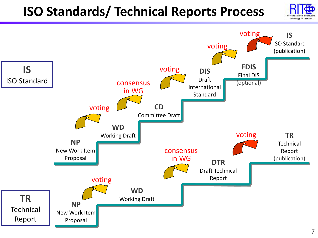# **ISO Standards/ Technical Reports Process**



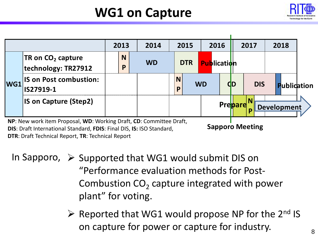## **WG1 on Capture**



|     |                                                                                                                                                                                              |  | 2013   | 2014      |               | 2015       |           | 2016               |           | 2017       | 2018               |  |
|-----|----------------------------------------------------------------------------------------------------------------------------------------------------------------------------------------------|--|--------|-----------|---------------|------------|-----------|--------------------|-----------|------------|--------------------|--|
|     | <b>TR</b> on $CO2$ capture<br>technology: TR27912                                                                                                                                            |  | N<br>P | <b>WD</b> |               | <b>DTR</b> |           | <b>Publication</b> |           |            |                    |  |
| WG1 | <b>IS on Post combustion:</b><br>IS27919-1                                                                                                                                                   |  |        |           | <b>N</b><br>p |            | <b>WD</b> |                    | <b>CD</b> | <b>DIS</b> | <b>Publidation</b> |  |
|     | <b>IS on Capture (Step2)</b>                                                                                                                                                                 |  |        |           |               |            | Prepare   |                    |           |            |                    |  |
|     | <b>Development</b><br>NP: New work item Proposal, WD: Working Draft, CD: Committee Draft,<br><b>Sapporo Meeting</b><br>DIS: Draft International Standard, FDIS: Final DIS, IS: ISO Standard, |  |        |           |               |            |           |                    |           |            |                    |  |

**DIS**: Draft International Standard, **FDIS**: Final DIS, **IS:** ISO Standard, **DTR**: Draft Technical Report, **TR**: Technical Report

In Sapporo,  $\triangleright$  Supported that WG1 would submit DIS on "Performance evaluation methods for Post-Combustion  $CO<sub>2</sub>$  capture integrated with power plant" for voting.

> $\triangleright$  Reported that WG1 would propose NP for the 2<sup>nd</sup> IS on capture for power or capture for industry.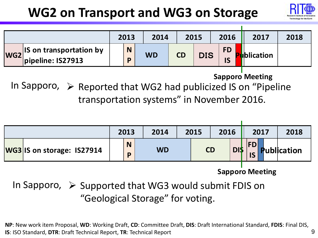## **WG2 on Transport and WG3 on Storage**



|                 |                                                         | 2013 |        | 2014      |           | 2015       | 2016            | 2017               | 2018 |
|-----------------|---------------------------------------------------------|------|--------|-----------|-----------|------------|-----------------|--------------------|------|
| WG <sub>2</sub> | <b>IS on transportation by</b><br>$ $ pipeline: IS27913 |      | N<br>D | <b>WD</b> | <b>CD</b> | <b>DIS</b> | <b>FD</b><br>IS | <b>I</b> blication |      |

**Sapporo Meeting**

In Sapporo,  $\triangleright$  Reported that WG2 had publicized IS on "Pipeline transportation systems" in November 2016.



**Sapporo Meeting**

In Sapporo,  $\triangleright$  Supported that WG3 would submit FDIS on "Geological Storage" for voting.

9 **NP**: New work item Proposal, **WD**: Working Draft, **CD**: Committee Draft, **DIS**: Draft International Standard, **FDIS**: Final DIS, **IS**: ISO Standard, **DTR**: Draft Technical Report, **TR**: Technical Report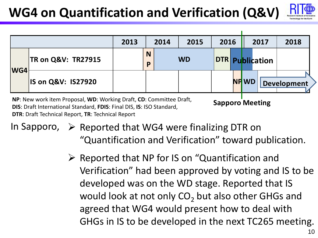# **WG4 on Quantification and Verification (Q&V)**



|            |                               | 2013 | 2014          |  | 2015      | 2016                   |  | 2017        |  | 2018        |
|------------|-------------------------------|------|---------------|--|-----------|------------------------|--|-------------|--|-------------|
|            | <b>TR on Q&amp;V: TR27915</b> |      | <b>N</b><br>P |  | <b>WD</b> | <b>DTR Publication</b> |  |             |  |             |
| <b>WG4</b> | <b>IS on Q&amp;V: IS27920</b> |      |               |  |           |                        |  | <b>NPWD</b> |  | Development |

**Sapporo Meeting NP**: New work item Proposal, **WD**: Working Draft, **CD**: Committee Draft, **DIS**: Draft International Standard, **FDIS**: Final DIS, **IS**: ISO Standard, **DTR**: Draft Technical Report, **TR**: Technical Report

In Sapporo,  $\triangleright$  Reported that WG4 were finalizing DTR on "Quantification and Verification" toward publication.

> $\triangleright$  Reported that NP for IS on "Quantification and Verification" had been approved by voting and IS to be developed was on the WD stage. Reported that IS would look at not only  $CO<sub>2</sub>$  but also other GHGs and agreed that WG4 would present how to deal with GHGs in IS to be developed in the next TC265 meeting.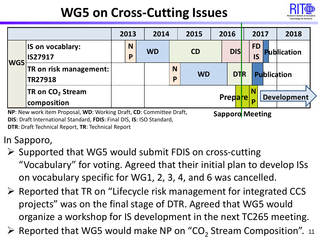# **WG5 on Cross-Cutting Issues**



|     |                                                                                               | 2013 |        | 2014      |               | 2015      |  | 2016        |  | 2017            |  | 2018               |
|-----|-----------------------------------------------------------------------------------------------|------|--------|-----------|---------------|-----------|--|-------------|--|-----------------|--|--------------------|
| WG5 | <b>IS on vocablary:</b><br><b>IS27917</b>                                                     |      | N<br>P | <b>WD</b> |               | <b>CD</b> |  | <b>DISI</b> |  | <b>FD</b><br>IS |  | <b>Publication</b> |
|     | <b>TR on risk management:</b><br><b>TR27918</b>                                               |      |        |           | <b>N</b><br>P | <b>WD</b> |  | <b>DTR</b>  |  |                 |  | Publication        |
|     | TR on CO <sub>2</sub> Stream<br>composition                                                   |      |        |           |               | Prepare   |  |             |  |                 |  | <b>Development</b> |
|     | NP: New work item Proposal, WD: Working Draft, CD: Committee Draft,<br><b>Sapporo Meeting</b> |      |        |           |               |           |  |             |  |                 |  |                    |

**DIS**: Draft International Standard, **FDIS**: Final DIS, **IS**: ISO Standard,

**DTR**: Draft Technical Report, **TR**: Technical Report

#### In Sapporo,

- $\triangleright$  Supported that WG5 would submit FDIS on cross-cutting "Vocabulary" for voting. Agreed that their initial plan to develop ISs on vocabulary specific for WG1, 2, 3, 4, and 6 was cancelled.
- $\triangleright$  Reported that TR on "Lifecycle risk management for integrated CCS projects" was on the final stage of DTR. Agreed that WG5 would organize a workshop for IS development in the next TC265 meeting.
- $\triangleright$  Reported that WG5 would make NP on "CO<sub>2</sub> Stream Composition". 11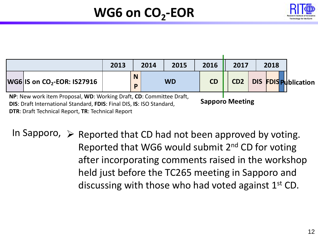

# **WG6 on CO<sub>2</sub>-EOR**



**DTR**: Draft Technical Report, **TR**: Technical Report

In Sapporo,  $\triangleright$  Reported that CD had not been approved by voting. Reported that WG6 would submit 2nd CD for voting after incorporating comments raised in the workshop held just before the TC265 meeting in Sapporo and discussing with those who had voted against  $1<sup>st</sup>$  CD.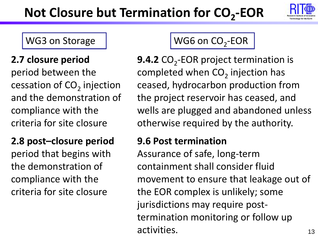# **Not Closure but Termination for CO<sub>2</sub>-EOR**



#### **2.7 closure period**

period between the cessation of  $CO<sub>2</sub>$  injection and the demonstration of compliance with the criteria for site closure

### **2.8 post–closure period**

period that begins with the demonstration of compliance with the criteria for site closure

#### WG3 on Storage  $\parallel$  WG6 on  $CO<sub>2</sub>$ -EOR

**9.4.2** CO<sub>2</sub>-EOR project termination is completed when  $CO<sub>2</sub>$  injection has ceased, hydrocarbon production from the project reservoir has ceased, and wells are plugged and abandoned unless otherwise required by the authority.

#### **9.6 Post termination**

Assurance of safe, long-term containment shall consider fluid movement to ensure that leakage out of the EOR complex is unlikely; some jurisdictions may require posttermination monitoring or follow up activities.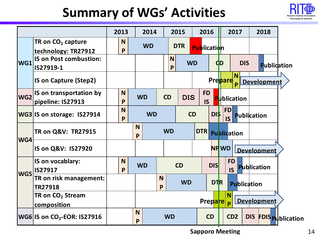## **Summary of WGs' Activities**



|                 |                                                           | 2013          | 2014      | 2015                                           |            | 2016                   |              | 2017                   | 2018               |                         |
|-----------------|-----------------------------------------------------------|---------------|-----------|------------------------------------------------|------------|------------------------|--------------|------------------------|--------------------|-------------------------|
|                 | TR on $CO2$ capture<br>technology: TR27912                | <b>N</b><br>P | <b>WD</b> | <b>DTR</b>                                     |            | <b>Publication</b>     |              |                        |                    |                         |
| WG1             | <b>IS on Post combustion:</b><br>IS27919-1                |               |           | <b>N</b><br>P                                  | <b>WD</b>  |                        | <b>CD</b>    | <b>DIS</b>             | Publication        |                         |
|                 | <b>IS on Capture (Step2)</b>                              |               |           |                                                |            |                        | Prepare      | N <sub>1</sub>         | <b>Development</b> |                         |
| WG <sub>2</sub> | IS on transportation by<br>pipeline: IS27913              | N<br>P        | <b>WD</b> | <b>CD</b>                                      | <b>DIS</b> | <b>FD</b><br><b>IS</b> |              | <b>Publication</b>     |                    |                         |
|                 | <b>WG3 IS on storage: IS27914</b>                         | N<br>P        | <b>WD</b> |                                                | <b>CD</b>  | <b>DI\$</b>            |              | <b>FD</b><br><b>IS</b> | Publication        |                         |
| WG4             | <b>TR on Q&amp;V: TR27915</b>                             |               | N<br>P    | <b>WD</b>                                      |            | DTR                    |              | <b>Publication</b>     |                    |                         |
|                 | IS on Q&V: IS27920                                        |               |           |                                                |            |                        | <b>NP WD</b> |                        | Development        |                         |
|                 | IS on vocablary:<br><b>IS27917</b>                        | <b>N</b><br>P | <b>WD</b> | <b>CD</b>                                      |            | <b>DIS</b>             |              | <b>FD</b><br><b>IS</b> | Publication        |                         |
| WG5             | TR on risk management:<br><b>TR27918</b>                  |               |           | <b>N</b><br>P                                  | <b>WD</b>  |                        | <b>DTR</b>   | <b>Publication</b>     |                    |                         |
|                 | TR on CO <sub>2</sub> Stream<br>composition               |               |           | N<br><b>Development</b><br><b>Prepare</b><br>D |            |                        |              |                        |                    |                         |
|                 | $ {\mathsf W}$ G6 $ $ IS on CO <sub>2</sub> -EOR: IS27916 |               | N<br>P    | <b>WD</b>                                      |            | <b>CD</b>              |              | CD <sub>2</sub>        | <b>DIS</b>         | <b>FDIS Publication</b> |

**Sapporo Meeting**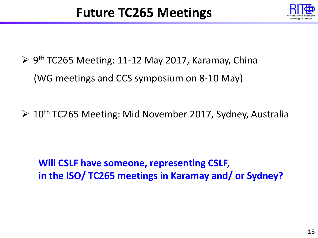

- $\triangleright$  9<sup>th</sup> TC265 Meeting: 11-12 May 2017, Karamay, China (WG meetings and CCS symposium on 8-10 May)
- $\geq 10$ <sup>th</sup> TC265 Meeting: Mid November 2017, Sydney, Australia

**Will CSLF have someone, representing CSLF, in the ISO/ TC265 meetings in Karamay and/ or Sydney?**